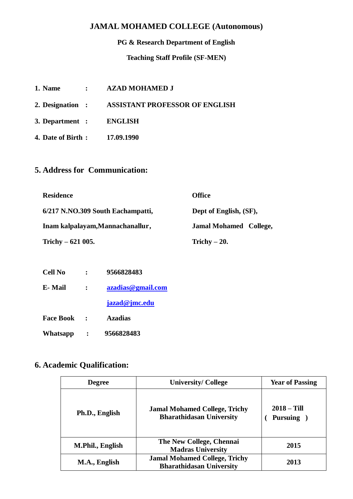## **JAMAL MOHAMED COLLEGE (Autonomous)**

#### **PG & Research Department of English**

**Teaching Staff Profile (SF-MEN)**

| 1. Name                       | : AZAD MOHAMED J                                |
|-------------------------------|-------------------------------------------------|
|                               | 2. Designation : ASSISTANT PROFESSOR OF ENGLISH |
| 3. Department : ENGLISH       |                                                 |
| 4. Date of Birth : 17.09.1990 |                                                 |

## **5. Address for Communication:**

| <b>Residence</b>                  | <b>Office</b>                 |
|-----------------------------------|-------------------------------|
| 6/217 N.NO.309 South Eachampatti, | Dept of English, (SF),        |
| Inam kalpalayam, Mannachanallur,  | <b>Jamal Mohamed College,</b> |
| Trichy $-621005$ .                | Trichy $-20$ .                |

| <b>Cell No</b>   | $\ddot{\phantom{a}}$ | 9566828483        |
|------------------|----------------------|-------------------|
| E-Mail           |                      | azadias@gmail.com |
|                  |                      | jazad@jmc.edu     |
| <b>Face Book</b> |                      | <b>Azadias</b>    |
| Whatsapp         |                      | 9566828483        |

# **6. Academic Qualification:**

| <b>Degree</b>                                                            | <b>University/ College</b>                                              |                             |
|--------------------------------------------------------------------------|-------------------------------------------------------------------------|-----------------------------|
| Ph.D., English                                                           | <b>Jamal Mohamed College, Trichy</b><br><b>Bharathidasan University</b> | $2018 - Till$<br>Pursuing ) |
| The New College, Chennai<br>M.Phil., English<br><b>Madras University</b> |                                                                         | 2015                        |
| M.A., English                                                            | <b>Jamal Mohamed College, Trichy</b><br><b>Bharathidasan University</b> | 2013                        |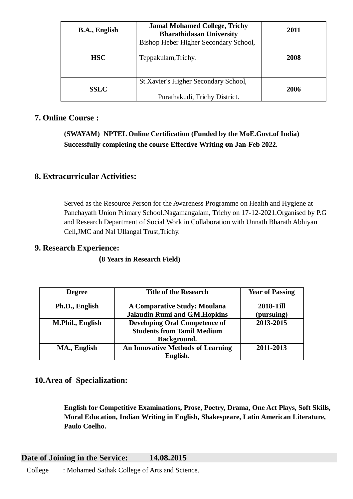| <b>B.A., English</b> | <b>Jamal Mohamed College, Trichy</b><br><b>Bharathidasan University</b> | 2011 |
|----------------------|-------------------------------------------------------------------------|------|
| <b>HSC</b>           | Bishop Heber Higher Secondary School,<br>Teppakulam, Trichy.            | 2008 |
| <b>SSLC</b>          | St. Xavier's Higher Secondary School,<br>Purathakudi, Trichy District.  | 2006 |

## **7. Online Course :**

**(SWAYAM) NPTEL Online Certification (Funded by the MoE.Govt.of India) Successfully completing the course Effective Writing on Jan-Feb 2022.**

## **8. Extracurricular Activities:**

Served as the Resource Person for the Awareness Programme on Health and Hygiene at Panchayath Union Primary School.Nagamangalam, Trichy on 17-12-2021.Organised by P.G and Research Department of Social Work in Collaboration with Unnath Bharath Abhiyan Cell,JMC and Nal Ullangal Trust,Trichy.

#### **9. Research Experience:**

 **(8 Years in Research Field)**

| <b>Degree</b>    | <b>Title of the Research</b>             | <b>Year of Passing</b> |
|------------------|------------------------------------------|------------------------|
| Ph.D., English   | <b>A Comparative Study: Moulana</b>      | <b>2018-Till</b>       |
|                  | <b>Jalaudin Rumi and G.M. Hopkins</b>    | (pursuing)             |
| M.Phil., English | <b>Developing Oral Competence of</b>     | 2013-2015              |
|                  | <b>Students from Tamil Medium</b>        |                        |
|                  | Background.                              |                        |
| MA., English     | <b>An Innovative Methods of Learning</b> | 2011-2013              |
|                  | English.                                 |                        |

## **10.Area of Specialization:**

**English for Competitive Examinations, Prose, Poetry, Drama, One Act Plays, Soft Skills, Moral Education, Indian Writing in English, Shakespeare, Latin American Literature, Paulo Coelho.**

#### **Date of Joining in the Service: 14.08.2015**

College : Mohamed Sathak College of Arts and Science.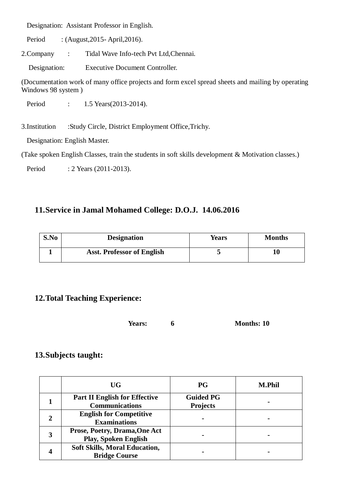Designation: Assistant Professor in English.

Period : (August, 2015 - April, 2016).

2.Company : Tidal Wave Info-tech Pvt Ltd,Chennai.

Designation: Executive Document Controller.

(Documentation work of many office projects and form excel spread sheets and mailing by operating Windows 98 system )

Period : 1.5 Years(2013-2014).

3.Institution :Study Circle, District Employment Office,Trichy.

Designation: English Master.

(Take spoken English Classes, train the students in soft skills development & Motivation classes.)

Period : 2 Years (2011-2013).

## **11.Service in Jamal Mohamed College: D.O.J. 14.06.2016**

| S.No | <b>Designation</b>                | <b>Years</b> | <b>Months</b> |
|------|-----------------------------------|--------------|---------------|
|      | <b>Asst. Professor of English</b> |              |               |

## **12.Total Teaching Experience:**

**Years: 6 Months: 10**

## **13.Subjects taught:**

| UG                                                            | <b>PG</b>                           | <b>M.Phil</b> |
|---------------------------------------------------------------|-------------------------------------|---------------|
| <b>Part II English for Effective</b><br><b>Communications</b> | <b>Guided PG</b><br><b>Projects</b> |               |
| <b>English for Competitive</b><br><b>Examinations</b>         |                                     |               |
| Prose, Poetry, Drama, One Act<br><b>Play, Spoken English</b>  |                                     |               |
| <b>Soft Skills, Moral Education,</b><br><b>Bridge Course</b>  |                                     |               |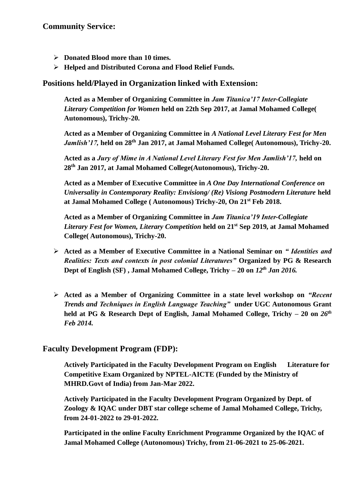- **Donated Blood more than 10 times.**
- **Helped and Distributed Corona and Flood Relief Funds.**

## **Positions held/Played in Organization linked with Extension:**

**Acted as a Member of Organizing Committee in** *Jam Titanica'17 Inter-Collegiate Literary Competition for Women* **held on 22th Sep 2017, at Jamal Mohamed College( Autonomous), Trichy-20.**

**Acted as a Member of Organizing Committee in** *A National Level Literary Fest for Men Jamlish'17,* **held on 28th Jan 2017, at Jamal Mohamed College( Autonomous), Trichy-20.**

**Acted as a** *Jury of Mime in A National Level Literary Fest for Men Jamlish'17,* **held on 28th Jan 2017, at Jamal Mohamed College(Autonomous), Trichy-20.**

**Acted as a Member of Executive Committee in** *A One Day International Conference on Universality in Contemporary Reality: Envisiong/ (Re) Visiong Postmodern Literature held* **at Jamal Mohamed College ( Autonomous) Trichy-20, On 21st Feb 2018.**

**Acted as a Member of Organizing Committee in** *Jam Titanica'19 Inter-Collegiate Literary Fest for Women, Literary Competition* **held on 21st Sep 2019, at Jamal Mohamed College( Autonomous), Trichy-20.**

- **Acted as a Member of Executive Committee in a National Seminar on** *" Identities and Realities: Texts and contexts in post colonial Literatures"* **Organized by PG & Research Dept of English (SF) , Jamal Mohamed College, Trichy – 20 on** *12th Jan 2016.*
- **Acted as a Member of Organizing Committee in a state level workshop on** *"Recent Trends and Techniques in English Language Teaching"* **under UGC Autonomous Grant held at PG & Research Dept of English, Jamal Mohamed College, Trichy – 20 on** *26th Feb 2014.*

## **Faculty Development Program (FDP):**

**Actively Participated in the Faculty Development Program on English Literature for Competitive Exam Organized by NPTEL-AICTE (Funded by the Ministry of MHRD.Govt of India) from Jan-Mar 2022.**

**Actively Participated in the Faculty Development Program Organized by Dept. of Zoology & IQAC under DBT star college scheme of Jamal Mohamed College, Trichy, from 24-01-2022 to 29-01-2022.**

**Participated in the online Faculty Enrichment Programme Organized by the IQAC of Jamal Mohamed College (Autonomous) Trichy, from 21-06-2021 to 25-06-2021.**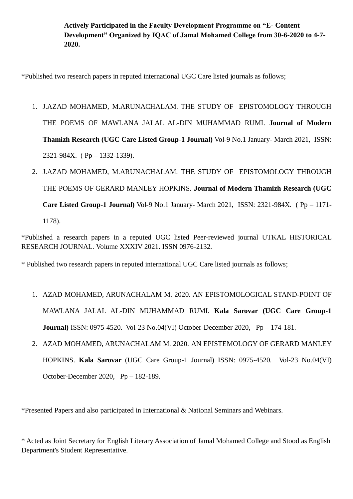**Actively Participated in the Faculty Development Programme on "E- Content Development" Organized by IQAC of Jamal Mohamed College from 30-6-2020 to 4-7- 2020.**

\*Published two research papers in reputed international UGC Care listed journals as follows;

- 1. J.AZAD MOHAMED, M.ARUNACHALAM. THE STUDY OF EPISTOMOLOGY THROUGH THE POEMS OF MAWLANA JALAL AL-DIN MUHAMMAD RUMI. **Journal of Modern Thamizh Research (UGC Care Listed Group-1 Journal)** Vol-9 No.1 January- March 2021, ISSN: 2321-984X. ( Pp – 1332-1339).
- 2. J.AZAD MOHAMED, M.ARUNACHALAM. THE STUDY OF EPISTOMOLOGY THROUGH THE POEMS OF GERARD MANLEY HOPKINS. **Journal of Modern Thamizh Research (UGC Care Listed Group-1 Journal)** Vol-9 No.1 January- March 2021, ISSN: 2321-984X. ( Pp – 1171- 1178).

\*Published a research papers in a reputed UGC listed Peer-reviewed journal UTKAL HISTORICAL RESEARCH JOURNAL. Volume XXXIV 2021. ISSN 0976-2132.

\* Published two research papers in reputed international UGC Care listed journals as follows;

- 1. AZAD MOHAMED, ARUNACHALAM M. 2020. AN EPISTOMOLOGICAL STAND-POINT OF MAWLANA JALAL AL-DIN MUHAMMAD RUMI. **Kala Sarovar (UGC Care Group-1 Journal)** ISSN: 0975-4520. Vol-23 No.04(VI) October-December 2020, Pp – 174-181.
- 2. AZAD MOHAMED, ARUNACHALAM M. 2020. AN EPISTEMOLOGY OF GERARD MANLEY HOPKINS. **Kala Sarovar** (UGC Care Group-1 Journal) ISSN: 0975-4520. Vol-23 No.04(VI) October-December 2020,Pp – 182-189.

\*Presented Papers and also participated in International & National Seminars and Webinars.

\* Acted as Joint Secretary for English Literary Association of Jamal Mohamed College and Stood as English Department's Student Representative.